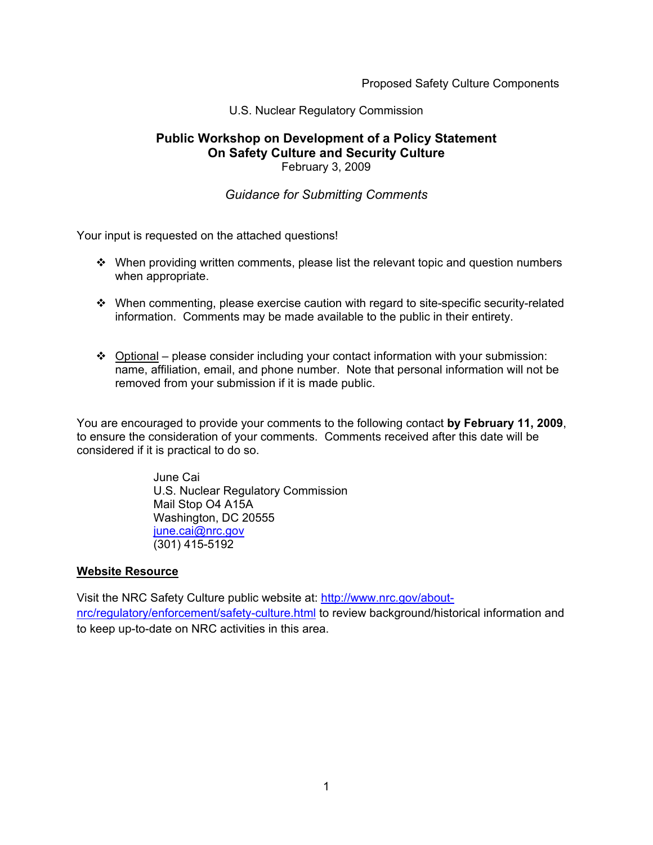Proposed Safety Culture Components

#### U.S. Nuclear Regulatory Commission

#### **Public Workshop on Development of a Policy Statement On Safety Culture and Security Culture**  February 3, 2009

#### *Guidance for Submitting Comments*

Your input is requested on the attached questions!

- $\cdot \cdot$  When providing written comments, please list the relevant topic and question numbers when appropriate.
- $\cdot \cdot$  When commenting, please exercise caution with regard to site-specific security-related information. Comments may be made available to the public in their entirety.
- $\div$  Optional please consider including your contact information with your submission: name, affiliation, email, and phone number. Note that personal information will not be removed from your submission if it is made public.

You are encouraged to provide your comments to the following contact **by February 11, 2009**, to ensure the consideration of your comments. Comments received after this date will be considered if it is practical to do so.

> June Cai U.S. Nuclear Regulatory Commission Mail Stop O4 A15A Washington, DC 20555 june.cai@nrc.gov (301) 415-5192

#### **Website Resource**

Visit the NRC Safety Culture public website at: http://www.nrc.gov/aboutnrc/regulatory/enforcement/safety-culture.html to review background/historical information and to keep up-to-date on NRC activities in this area.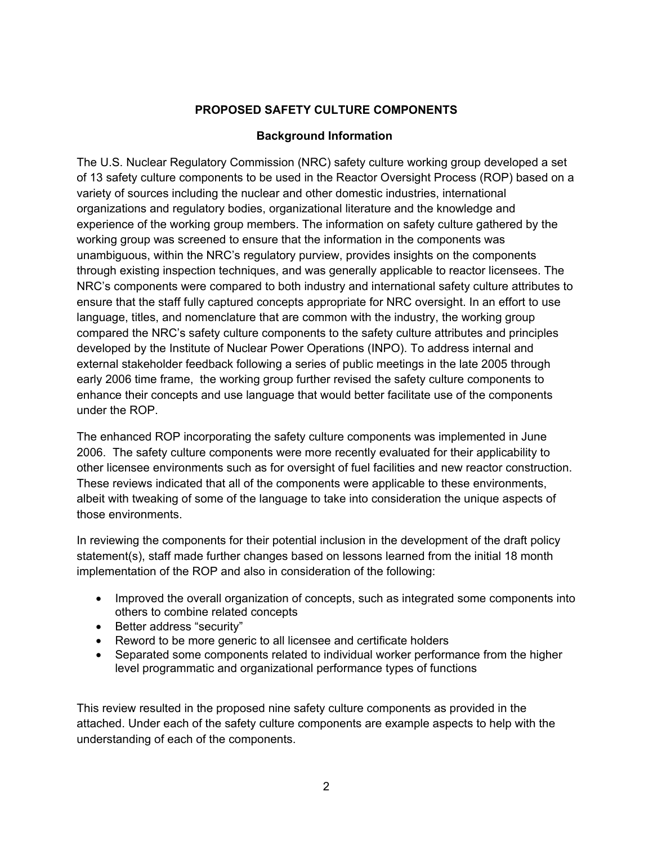### **PROPOSED SAFETY CULTURE COMPONENTS**

#### **Background Information**

The U.S. Nuclear Regulatory Commission (NRC) safety culture working group developed a set of 13 safety culture components to be used in the Reactor Oversight Process (ROP) based on a variety of sources including the nuclear and other domestic industries, international organizations and regulatory bodies, organizational literature and the knowledge and experience of the working group members. The information on safety culture gathered by the working group was screened to ensure that the information in the components was unambiguous, within the NRC's regulatory purview, provides insights on the components through existing inspection techniques, and was generally applicable to reactor licensees. The NRC's components were compared to both industry and international safety culture attributes to ensure that the staff fully captured concepts appropriate for NRC oversight. In an effort to use language, titles, and nomenclature that are common with the industry, the working group compared the NRC's safety culture components to the safety culture attributes and principles developed by the Institute of Nuclear Power Operations (INPO). To address internal and external stakeholder feedback following a series of public meetings in the late 2005 through early 2006 time frame, the working group further revised the safety culture components to enhance their concepts and use language that would better facilitate use of the components under the ROP.

The enhanced ROP incorporating the safety culture components was implemented in June 2006. The safety culture components were more recently evaluated for their applicability to other licensee environments such as for oversight of fuel facilities and new reactor construction. These reviews indicated that all of the components were applicable to these environments, albeit with tweaking of some of the language to take into consideration the unique aspects of those environments.

In reviewing the components for their potential inclusion in the development of the draft policy statement(s), staff made further changes based on lessons learned from the initial 18 month implementation of the ROP and also in consideration of the following:

- Improved the overall organization of concepts, such as integrated some components into others to combine related concepts
- Better address "security"
- Reword to be more generic to all licensee and certificate holders
- Separated some components related to individual worker performance from the higher level programmatic and organizational performance types of functions

This review resulted in the proposed nine safety culture components as provided in the attached. Under each of the safety culture components are example aspects to help with the understanding of each of the components.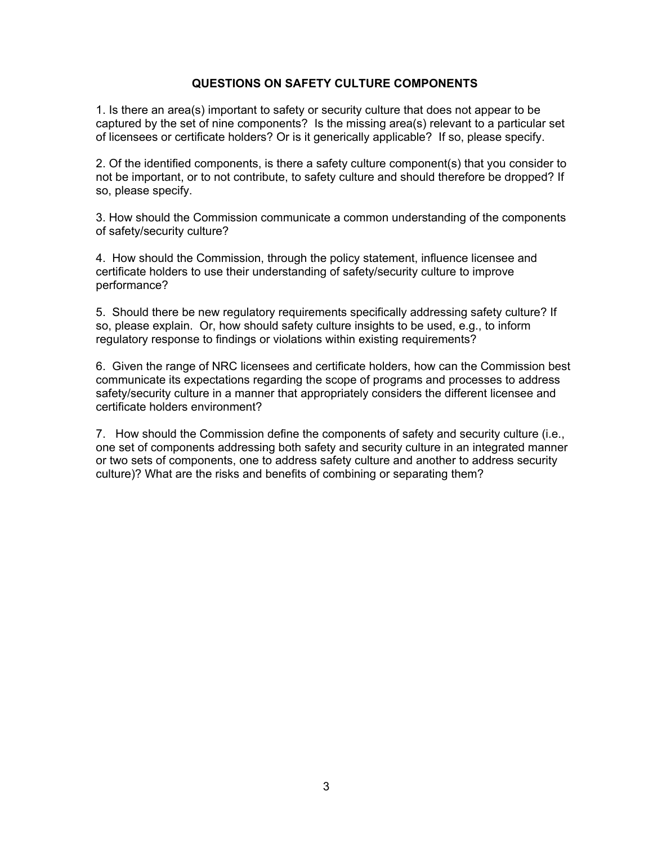#### **QUESTIONS ON SAFETY CULTURE COMPONENTS**

1. Is there an area(s) important to safety or security culture that does not appear to be captured by the set of nine components? Is the missing area(s) relevant to a particular set of licensees or certificate holders? Or is it generically applicable? If so, please specify.

2. Of the identified components, is there a safety culture component(s) that you consider to not be important, or to not contribute, to safety culture and should therefore be dropped? If so, please specify.

3. How should the Commission communicate a common understanding of the components of safety/security culture?

4. How should the Commission, through the policy statement, influence licensee and certificate holders to use their understanding of safety/security culture to improve performance?

5. Should there be new regulatory requirements specifically addressing safety culture? If so, please explain. Or, how should safety culture insights to be used, e.g., to inform regulatory response to findings or violations within existing requirements?

6. Given the range of NRC licensees and certificate holders, how can the Commission best communicate its expectations regarding the scope of programs and processes to address safety/security culture in a manner that appropriately considers the different licensee and certificate holders environment?

7. How should the Commission define the components of safety and security culture (i.e., one set of components addressing both safety and security culture in an integrated manner or two sets of components, one to address safety culture and another to address security culture)? What are the risks and benefits of combining or separating them?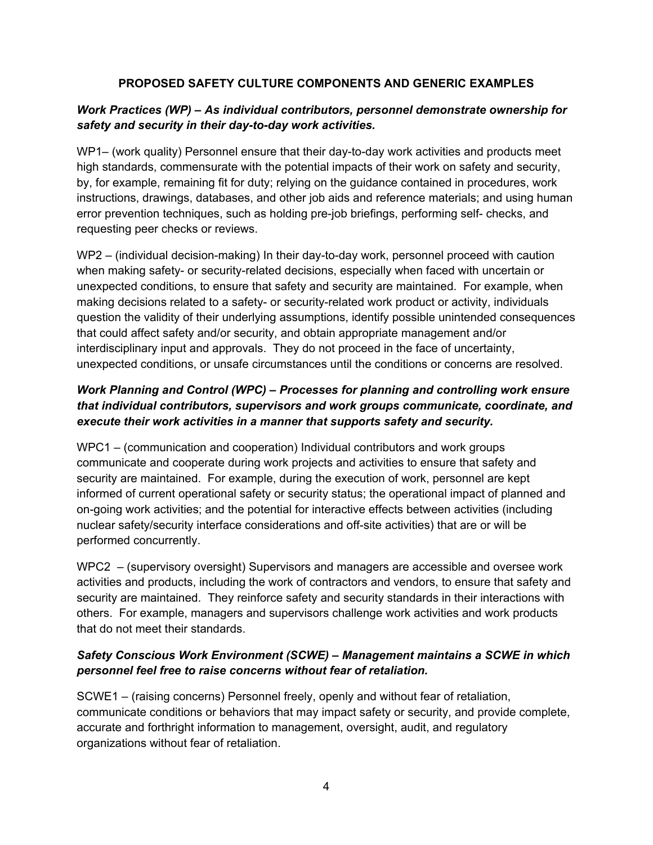### **PROPOSED SAFETY CULTURE COMPONENTS AND GENERIC EXAMPLES**

## *Work Practices (WP) – As individual contributors, personnel demonstrate ownership for safety and security in their day-to-day work activities.*

WP1– (work quality) Personnel ensure that their day-to-day work activities and products meet high standards, commensurate with the potential impacts of their work on safety and security, by, for example, remaining fit for duty; relying on the guidance contained in procedures, work instructions, drawings, databases, and other job aids and reference materials; and using human error prevention techniques, such as holding pre-job briefings, performing self- checks, and requesting peer checks or reviews.

WP2 – (individual decision-making) In their day-to-day work, personnel proceed with caution when making safety- or security-related decisions, especially when faced with uncertain or unexpected conditions, to ensure that safety and security are maintained. For example, when making decisions related to a safety- or security-related work product or activity, individuals question the validity of their underlying assumptions, identify possible unintended consequences that could affect safety and/or security, and obtain appropriate management and/or interdisciplinary input and approvals. They do not proceed in the face of uncertainty, unexpected conditions, or unsafe circumstances until the conditions or concerns are resolved.

## *Work Planning and Control (WPC) – Processes for planning and controlling work ensure that individual contributors, supervisors and work groups communicate, coordinate, and execute their work activities in a manner that supports safety and security.*

WPC1 – (communication and cooperation) Individual contributors and work groups communicate and cooperate during work projects and activities to ensure that safety and security are maintained. For example, during the execution of work, personnel are kept informed of current operational safety or security status; the operational impact of planned and on-going work activities; and the potential for interactive effects between activities (including nuclear safety/security interface considerations and off-site activities) that are or will be performed concurrently.

WPC2 – (supervisory oversight) Supervisors and managers are accessible and oversee work activities and products, including the work of contractors and vendors, to ensure that safety and security are maintained. They reinforce safety and security standards in their interactions with others. For example, managers and supervisors challenge work activities and work products that do not meet their standards.

## *Safety Conscious Work Environment (SCWE) – Management maintains a SCWE in which personnel feel free to raise concerns without fear of retaliation.*

SCWE1 – (raising concerns) Personnel freely, openly and without fear of retaliation, communicate conditions or behaviors that may impact safety or security, and provide complete, accurate and forthright information to management, oversight, audit, and regulatory organizations without fear of retaliation.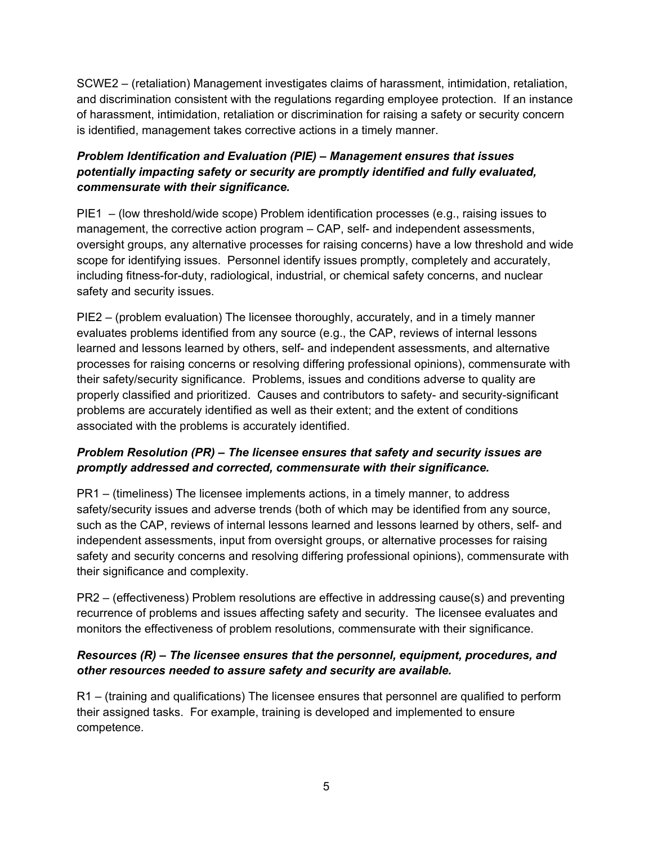SCWE2 – (retaliation) Management investigates claims of harassment, intimidation, retaliation, and discrimination consistent with the regulations regarding employee protection. If an instance of harassment, intimidation, retaliation or discrimination for raising a safety or security concern is identified, management takes corrective actions in a timely manner.

# *Problem Identification and Evaluation (PIE) – Management ensures that issues potentially impacting safety or security are promptly identified and fully evaluated, commensurate with their significance.*

PIE1 – (low threshold/wide scope) Problem identification processes (e.g., raising issues to management, the corrective action program – CAP, self- and independent assessments, oversight groups, any alternative processes for raising concerns) have a low threshold and wide scope for identifying issues. Personnel identify issues promptly, completely and accurately, including fitness-for-duty, radiological, industrial, or chemical safety concerns, and nuclear safety and security issues.

PIE2 – (problem evaluation) The licensee thoroughly, accurately, and in a timely manner evaluates problems identified from any source (e.g., the CAP, reviews of internal lessons learned and lessons learned by others, self- and independent assessments, and alternative processes for raising concerns or resolving differing professional opinions), commensurate with their safety/security significance. Problems, issues and conditions adverse to quality are properly classified and prioritized. Causes and contributors to safety- and security-significant problems are accurately identified as well as their extent; and the extent of conditions associated with the problems is accurately identified.

# *Problem Resolution (PR) – The licensee ensures that safety and security issues are promptly addressed and corrected, commensurate with their significance.*

PR1 – (timeliness) The licensee implements actions, in a timely manner, to address safety/security issues and adverse trends (both of which may be identified from any source, such as the CAP, reviews of internal lessons learned and lessons learned by others, self- and independent assessments, input from oversight groups, or alternative processes for raising safety and security concerns and resolving differing professional opinions), commensurate with their significance and complexity.

PR2 – (effectiveness) Problem resolutions are effective in addressing cause(s) and preventing recurrence of problems and issues affecting safety and security. The licensee evaluates and monitors the effectiveness of problem resolutions, commensurate with their significance.

### *Resources (R) – The licensee ensures that the personnel, equipment, procedures, and other resources needed to assure safety and security are available.*

R1 – (training and qualifications) The licensee ensures that personnel are qualified to perform their assigned tasks. For example, training is developed and implemented to ensure competence.